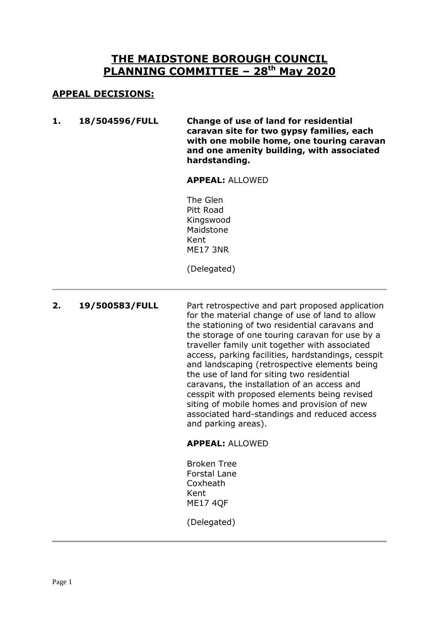# **THE MAIDSTONE BOROUGH COUNCIL PLANNING COMMITTEE – 28th May 2020**

# **APPEAL DECISIONS:**

**1. 18/504596/FULL Change of use of land for residential caravan site for two gypsy families, each with one mobile home, one touring caravan and one amenity building, with associated hardstanding.**

#### **APPEAL:** ALLOWED

The Glen Pitt Road Kingswood Maidstone Kent ME17 3NR

(Delegated)

2. **19/500583/FULL** Part retrospective and part proposed application for the material change of use of land to allow the stationing of two residential caravans and the storage of one touring caravan for use by a traveller family unit together with associated access, parking facilities, hardstandings, cesspit and landscaping (retrospective elements being the use of land for siting two residential caravans, the installation of an access and cesspit with proposed elements being revised siting of mobile homes and provision of new associated hard-standings and reduced access and parking areas). **APPEAL:** ALLOWED

> Broken Tree Forstal Lane **Coxheath** Kent ME17 4QF

(Delegated)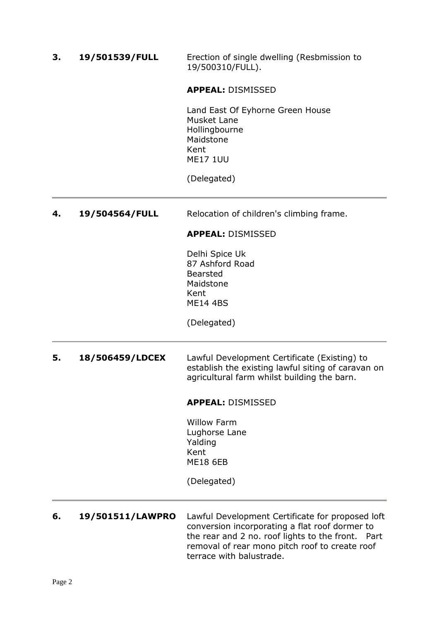**3. 19/501539/FULL** Erection of single dwelling (Resbmission to 19/500310/FULL).

**APPEAL:** DISMISSED

Land East Of Eyhorne Green House Musket Lane Hollingbourne Maidstone Kent ME17 1UU

(Delegated)

**4. 19/504564/FULL** Relocation of children's climbing frame.

#### **APPEAL:** DISMISSED

Delhi Spice Uk 87 Ashford Road Bearsted Maidstone Kent ME14 4BS

(Delegated)

**5. 18/506459/LDCEX** Lawful Development Certificate (Existing) to establish the existing lawful siting of caravan on agricultural farm whilst building the barn.

#### **APPEAL:** DISMISSED

Willow Farm Lughorse Lane Yalding Kent ME18 6EB

(Delegated)

**6. 19/501511/LAWPRO** Lawful Development Certificate for proposed loft conversion incorporating a flat roof dormer to the rear and 2 no. roof lights to the front. Part removal of rear mono pitch roof to create roof terrace with balustrade.